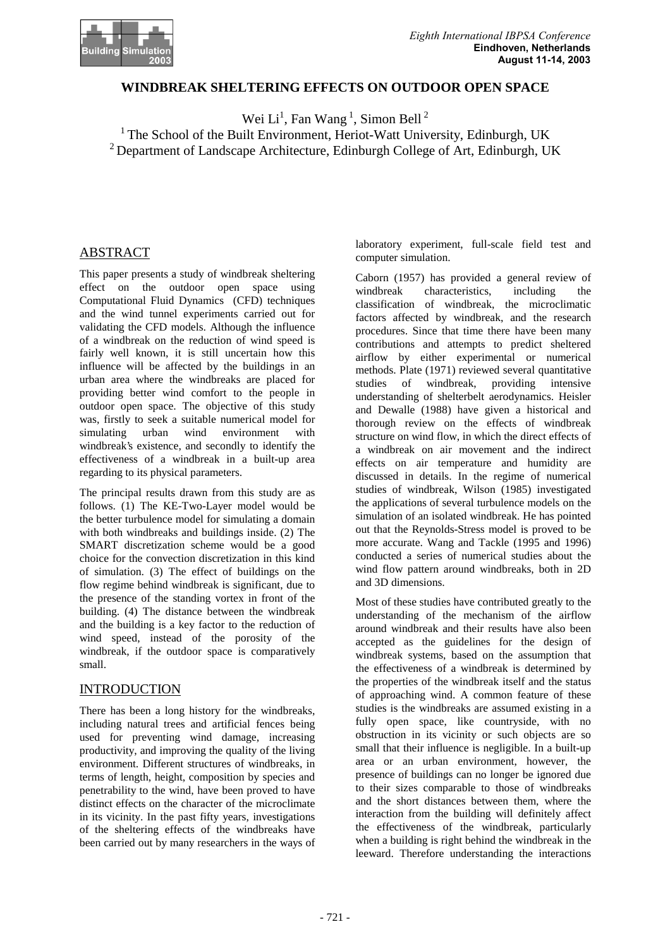

### **WINDBREAK SHELTERING EFFECTS ON OUTDOOR OPEN SPACE**

Wei  $Li<sup>1</sup>$ , Fan Wang<sup>1</sup>, Simon Bell<sup>2</sup>

 $1$ <sup>1</sup> The School of the Built Environment, Heriot-Watt University, Edinburgh, UK <sup>2</sup> Department of Landscape Architecture, Edinburgh College of Art, Edinburgh, UK

# ABSTRACT

This paper presents a study of windbreak sheltering effect on the outdoor open space using Computational Fluid Dynamics (CFD) techniques and the wind tunnel experiments carried out for validating the CFD models. Although the influence of a windbreak on the reduction of wind speed is fairly well known, it is still uncertain how this influence will be affected by the buildings in an urban area where the windbreaks are placed for providing better wind comfort to the people in outdoor open space. The objective of this study was, firstly to seek a suitable numerical model for simulating urban wind environment with windbreak's existence, and secondly to identify the effectiveness of a windbreak in a built-up area regarding to its physical parameters.

The principal results drawn from this study are as follows. (1) The KE-Two-Layer model would be the better turbulence model for simulating a domain with both windbreaks and buildings inside. (2) The SMART discretization scheme would be a good choice for the convection discretization in this kind of simulation. (3) The effect of buildings on the flow regime behind windbreak is significant, due to the presence of the standing vortex in front of the building. (4) The distance between the windbreak and the building is a key factor to the reduction of wind speed, instead of the porosity of the windbreak, if the outdoor space is comparatively small.

## INTRODUCTION

There has been a long history for the windbreaks, including natural trees and artificial fences being used for preventing wind damage, increasing productivity, and improving the quality of the living environment. Different structures of windbreaks, in terms of length, height, composition by species and penetrability to the wind, have been proved to have distinct effects on the character of the microclimate in its vicinity. In the past fifty years, investigations of the sheltering effects of the windbreaks have been carried out by many researchers in the ways of laboratory experiment, full-scale field test and computer simulation.

Caborn (1957) has provided a general review of windbreak characteristics, including the classification of windbreak, the microclimatic factors affected by windbreak, and the research procedures. Since that time there have been many contributions and attempts to predict sheltered airflow by either experimental or numerical methods. Plate (1971) reviewed several quantitative<br>studies of windbreak, providing intensive studies of windbreak, providing intensive understanding of shelterbelt aerodynamics. Heisler and Dewalle (1988) have given a historical and thorough review on the effects of windbreak structure on wind flow, in which the direct effects of a windbreak on air movement and the indirect effects on air temperature and humidity are discussed in details. In the regime of numerical studies of windbreak, Wilson (1985) investigated the applications of several turbulence models on the simulation of an isolated windbreak. He has pointed out that the Reynolds-Stress model is proved to be more accurate. Wang and Tackle (1995 and 1996) conducted a series of numerical studies about the wind flow pattern around windbreaks, both in 2D and 3D dimensions.

Most of these studies have contributed greatly to the understanding of the mechanism of the airflow around windbreak and their results have also been accepted as the guidelines for the design of windbreak systems, based on the assumption that the effectiveness of a windbreak is determined by the properties of the windbreak itself and the status of approaching wind. A common feature of these studies is the windbreaks are assumed existing in a fully open space, like countryside, with no obstruction in its vicinity or such objects are so small that their influence is negligible. In a built-up area or an urban environment, however, the presence of buildings can no longer be ignored due to their sizes comparable to those of windbreaks and the short distances between them, where the interaction from the building will definitely affect the effectiveness of the windbreak, particularly when a building is right behind the windbreak in the leeward. Therefore understanding the interactions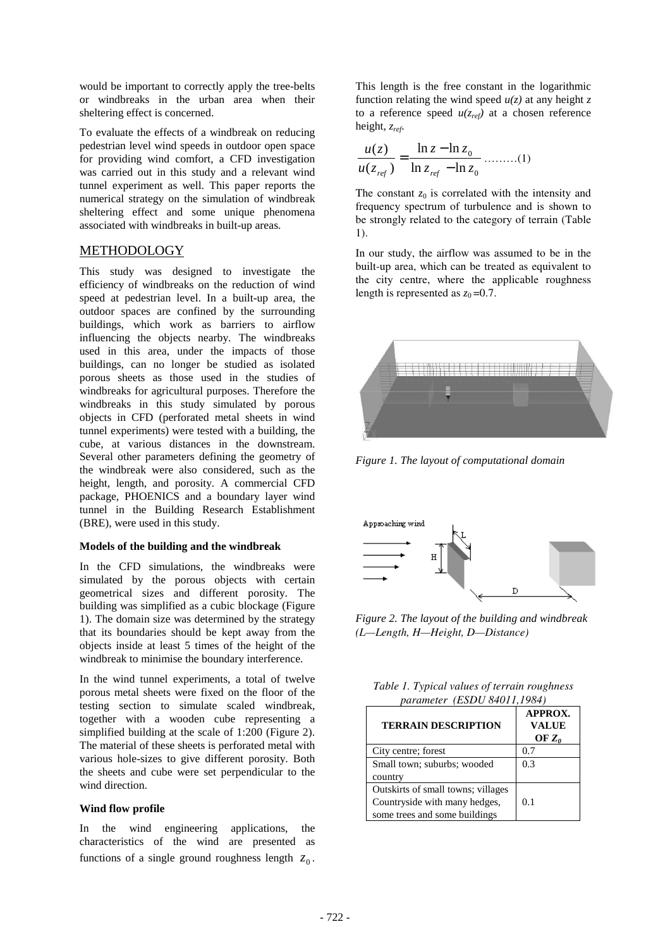would be important to correctly apply the tree-belts or windbreaks in the urban area when their sheltering effect is concerned.

To evaluate the effects of a windbreak on reducing pedestrian level wind speeds in outdoor open space for providing wind comfort, a CFD investigation was carried out in this study and a relevant wind tunnel experiment as well. This paper reports the numerical strategy on the simulation of windbreak sheltering effect and some unique phenomena associated with windbreaks in built-up areas.

### METHODOLOGY

This study was designed to investigate the efficiency of windbreaks on the reduction of wind speed at pedestrian level. In a built-up area, the outdoor spaces are confined by the surrounding buildings, which work as barriers to airflow influencing the objects nearby. The windbreaks used in this area, under the impacts of those buildings, can no longer be studied as isolated porous sheets as those used in the studies of windbreaks for agricultural purposes. Therefore the windbreaks in this study simulated by porous objects in CFD (perforated metal sheets in wind tunnel experiments) were tested with a building, the cube, at various distances in the downstream. Several other parameters defining the geometry of the windbreak were also considered, such as the height, length, and porosity. A commercial CFD package, PHOENICS and a boundary layer wind tunnel in the Building Research Establishment (BRE), were used in this study.

### **Models of the building and the windbreak**

In the CFD simulations, the windbreaks were simulated by the porous objects with certain geometrical sizes and different porosity. The building was simplified as a cubic blockage (Figure 1). The domain size was determined by the strategy that its boundaries should be kept away from the objects inside at least 5 times of the height of the windbreak to minimise the boundary interference.

In the wind tunnel experiments, a total of twelve porous metal sheets were fixed on the floor of the testing section to simulate scaled windbreak, together with a wooden cube representing a simplified building at the scale of 1:200 (Figure 2). The material of these sheets is perforated metal with various hole-sizes to give different porosity. Both the sheets and cube were set perpendicular to the wind direction.

### **Wind flow profile**

In the wind engineering applications, the characteristics of the wind are presented as functions of a single ground roughness length  $z_0$ .

This length is the free constant in the logarithmic function relating the wind speed  $u(z)$  at any height z to a reference speed  $u(z_{ref})$  at a chosen reference height, *zref*.

$$
\frac{u(z)}{u(z_{ref})} = \frac{\ln z - \ln z_0}{\ln z_{ref} - \ln z_0} \dots \dots \dots (1)
$$

The constant  $z_0$  is correlated with the intensity and frequency spectrum of turbulence and is shown to be strongly related to the category of terrain (Table 1).

In our study, the airflow was assumed to be in the built-up area, which can be treated as equivalent to the city centre, where the applicable roughness length is represented as  $z_0$  =0.7.



*Figure 1. The layout of computational domain*



*Figure 2. The layout of the building and windbreak (L—Length, H—Height, D—Distance)*

| Table 1. Typical values of terrain roughness |  |
|----------------------------------------------|--|
| parameter (ESDU 84011,1984)                  |  |

| <b>TERRAIN DESCRIPTION</b>         | <b>APPROX.</b><br><b>VALUE</b><br>OF $Z_0$ |
|------------------------------------|--------------------------------------------|
| City centre; forest                | 0.7                                        |
| Small town; suburbs; wooded        | 0.3                                        |
| country                            |                                            |
| Outskirts of small towns; villages |                                            |
| Countryside with many hedges,      | 0.1                                        |
| some trees and some buildings      |                                            |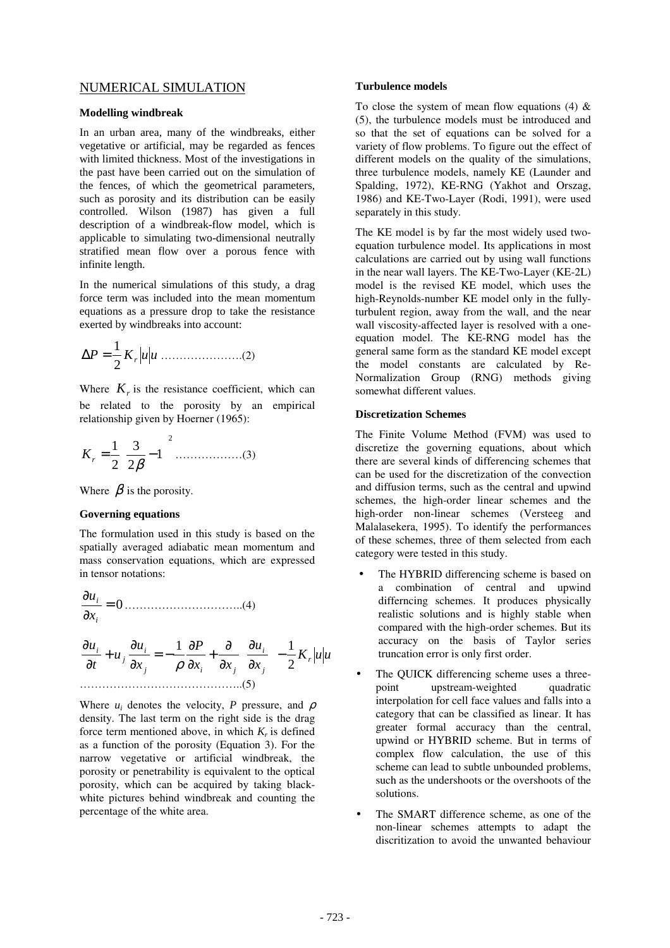### NUMERICAL SIMULATION

#### **Modelling windbreak**

In an urban area, many of the windbreaks, either vegetative or artificial, may be regarded as fences with limited thickness. Most of the investigations in the past have been carried out on the simulation of the fences, of which the geometrical parameters, such as porosity and its distribution can be easily controlled. Wilson (1987) has given a full description of a windbreak-flow model, which is applicable to simulating two-dimensional neutrally stratified mean flow over a porous fence with infinite length.

In the numerical simulations of this study, a drag force term was included into the mean momentum equations as a pressure drop to take the resistance exerted by windbreaks into account:

$$
\Delta P = \frac{1}{2} K_r |u| u \dots (2)
$$

Where  $K<sub>r</sub>$  is the resistance coefficient, which can be related to the porosity by an empirical relationship given by Hoerner (1965):

2 1 2 3 2 1 = − β *K<sup>r</sup>* ………………(3)

Where  $\beta$  is the porosity.

#### **Governing equations**

The formulation used in this study is based on the spatially averaged adiabatic mean momentum and mass conservation equations, which are expressed in tensor notations:

= 0 ∂ ∂ *i i x u* …………………………..(4) *K u u x u x x P x u u t u r j i j i j i j i* 2 1 1 − ∂ ∂ ∂ ∂ + ∂ ∂ = − ∂ ∂ + ∂ ∂ ρ ……………………………………..(5)

Where  $u_i$  denotes the velocity, *P* pressure, and  $\rho$ density. The last term on the right side is the drag force term mentioned above, in which  $K_r$  is defined as a function of the porosity (Equation 3). For the narrow vegetative or artificial windbreak, the porosity or penetrability is equivalent to the optical porosity, which can be acquired by taking blackwhite pictures behind windbreak and counting the percentage of the white area.

#### **Turbulence models**

To close the system of mean flow equations (4)  $\&$ (5), the turbulence models must be introduced and so that the set of equations can be solved for a variety of flow problems. To figure out the effect of different models on the quality of the simulations, three turbulence models, namely KE (Launder and Spalding, 1972), KE-RNG (Yakhot and Orszag, 1986) and KE-Two-Layer (Rodi, 1991), were used separately in this study.

The KE model is by far the most widely used twoequation turbulence model. Its applications in most calculations are carried out by using wall functions in the near wall layers. The KE-Two-Layer (KE-2L) model is the revised KE model, which uses the high-Reynolds-number KE model only in the fullyturbulent region, away from the wall, and the near wall viscosity-affected layer is resolved with a oneequation model. The KE-RNG model has the general same form as the standard KE model except the model constants are calculated by Re-Normalization Group (RNG) methods giving somewhat different values.

#### **Discretization Schemes**

The Finite Volume Method (FVM) was used to discretize the governing equations, about which there are several kinds of differencing schemes that can be used for the discretization of the convection and diffusion terms, such as the central and upwind schemes, the high-order linear schemes and the high-order non-linear schemes (Versteeg and Malalasekera, 1995). To identify the performances of these schemes, three of them selected from each category were tested in this study.

- The HYBRID differencing scheme is based on a combination of central and upwind differncing schemes. It produces physically realistic solutions and is highly stable when compared with the high-order schemes. But its accuracy on the basis of Taylor series truncation error is only first order.
- The QUICK differencing scheme uses a threepoint upstream-weighted quadratic interpolation for cell face values and falls into a category that can be classified as linear. It has greater formal accuracy than the central, upwind or HYBRID scheme. But in terms of complex flow calculation, the use of this scheme can lead to subtle unbounded problems, such as the undershoots or the overshoots of the solutions.
- The SMART difference scheme, as one of the non-linear schemes attempts to adapt the discritization to avoid the unwanted behaviour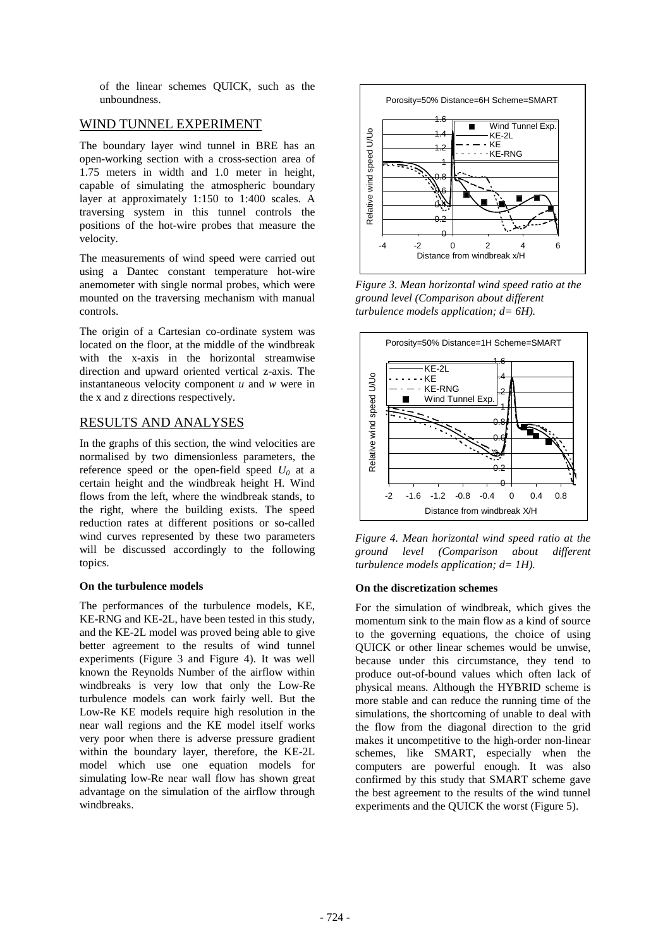of the linear schemes QUICK, such as the unboundness.

### WIND TUNNEL EXPERIMENT

The boundary layer wind tunnel in BRE has an open-working section with a cross-section area of 1.75 meters in width and 1.0 meter in height, capable of simulating the atmospheric boundary layer at approximately 1:150 to 1:400 scales. A traversing system in this tunnel controls the positions of the hot-wire probes that measure the velocity.

The measurements of wind speed were carried out using a Dantec constant temperature hot-wire anemometer with single normal probes, which were mounted on the traversing mechanism with manual controls.

The origin of a Cartesian co-ordinate system was located on the floor, at the middle of the windbreak with the x-axis in the horizontal streamwise direction and upward oriented vertical z-axis. The instantaneous velocity component *u* and *w* were in the x and z directions respectively.

# RESULTS AND ANALYSES

In the graphs of this section, the wind velocities are normalised by two dimensionless parameters, the reference speed or the open-field speed  $U_0$  at a certain height and the windbreak height H. Wind flows from the left, where the windbreak stands, to the right, where the building exists. The speed reduction rates at different positions or so-called wind curves represented by these two parameters will be discussed accordingly to the following topics.

### **On the turbulence models**

The performances of the turbulence models, KE, KE-RNG and KE-2L, have been tested in this study, and the KE-2L model was proved being able to give better agreement to the results of wind tunnel experiments (Figure 3 and Figure 4). It was well known the Reynolds Number of the airflow within windbreaks is very low that only the Low-Re turbulence models can work fairly well. But the Low-Re KE models require high resolution in the near wall regions and the KE model itself works very poor when there is adverse pressure gradient within the boundary layer, therefore, the KE-2L model which use one equation models for simulating low-Re near wall flow has shown great advantage on the simulation of the airflow through windbreaks.



*Figure 3. Mean horizontal wind speed ratio at the ground level (Comparison about different turbulence models application; d= 6H).*



*Figure 4. Mean horizontal wind speed ratio at the ground level (Comparison about different turbulence models application; d= 1H).*

### **On the discretization schemes**

For the simulation of windbreak, which gives the momentum sink to the main flow as a kind of source to the governing equations, the choice of using QUICK or other linear schemes would be unwise, because under this circumstance, they tend to produce out-of-bound values which often lack of physical means. Although the HYBRID scheme is more stable and can reduce the running time of the simulations, the shortcoming of unable to deal with the flow from the diagonal direction to the grid makes it uncompetitive to the high-order non-linear schemes, like SMART, especially when the computers are powerful enough. It was also confirmed by this study that SMART scheme gave the best agreement to the results of the wind tunnel experiments and the QUICK the worst (Figure 5).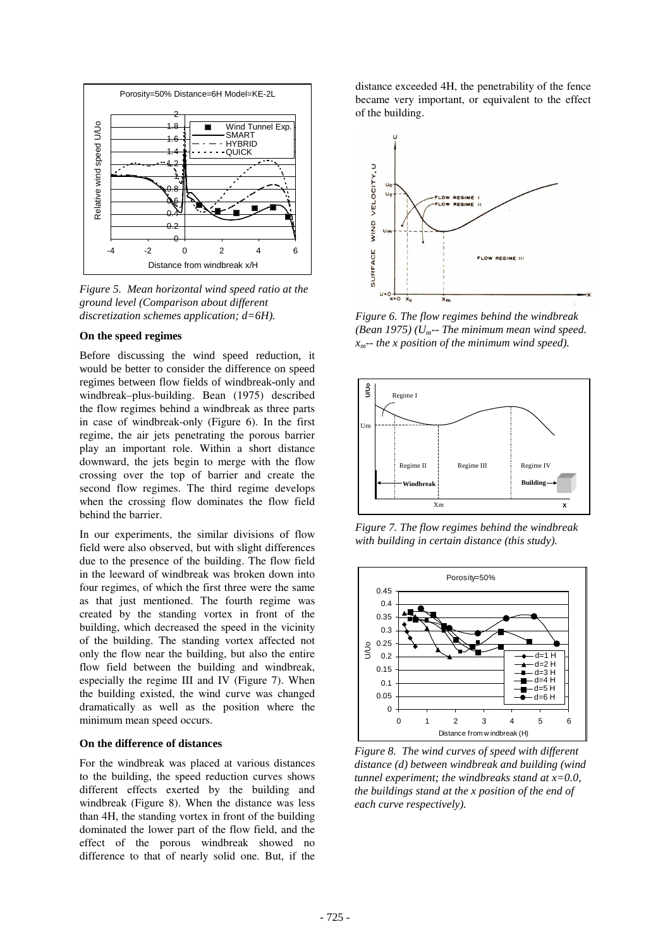

*Figure 5. Mean horizontal wind speed ratio at the ground level (Comparison about different discretization schemes application; d=6H).*

#### **On the speed regimes**

Before discussing the wind speed reduction, it would be better to consider the difference on speed regimes between flow fields of windbreak-only and windbreak–plus-building. Bean (1975) described the flow regimes behind a windbreak as three parts in case of windbreak-only (Figure 6). In the first regime, the air jets penetrating the porous barrier play an important role. Within a short distance downward, the jets begin to merge with the flow crossing over the top of barrier and create the second flow regimes. The third regime develops when the crossing flow dominates the flow field behind the barrier.

In our experiments, the similar divisions of flow field were also observed, but with slight differences due to the presence of the building. The flow field in the leeward of windbreak was broken down into four regimes, of which the first three were the same as that just mentioned. The fourth regime was created by the standing vortex in front of the building, which decreased the speed in the vicinity of the building. The standing vortex affected not only the flow near the building, but also the entire flow field between the building and windbreak, especially the regime III and IV (Figure 7). When the building existed, the wind curve was changed dramatically as well as the position where the minimum mean speed occurs.

#### **On the difference of distances**

For the windbreak was placed at various distances to the building, the speed reduction curves shows different effects exerted by the building and windbreak (Figure 8). When the distance was less than 4H, the standing vortex in front of the building dominated the lower part of the flow field, and the effect of the porous windbreak showed no difference to that of nearly solid one. But, if the distance exceeded 4H, the penetrability of the fence became very important, or equivalent to the effect of the building.



*Figure 6. The flow regimes behind the windbreak (Bean 1975) (Um-- The minimum mean wind speed. xm-- the x position of the minimum wind speed).*



*Figure 7. The flow regimes behind the windbreak with building in certain distance (this study).*



*Figure 8. The wind curves of speed with different distance (d) between windbreak and building (wind tunnel experiment; the windbreaks stand at x=0.0, the buildings stand at the x position of the end of each curve respectively).*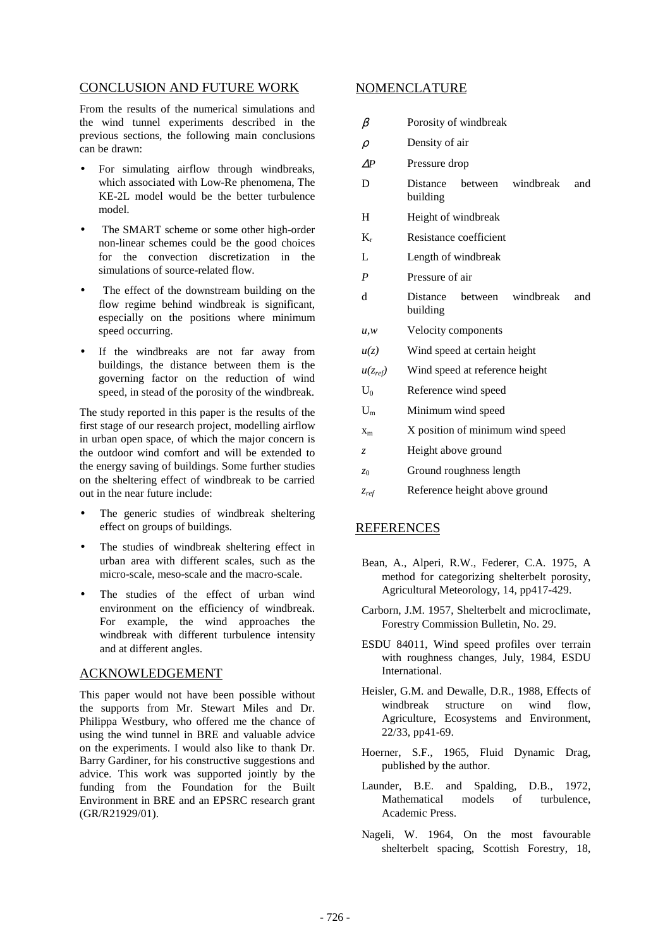### CONCLUSION AND FUTURE WORK

From the results of the numerical simulations and the wind tunnel experiments described in the previous sections, the following main conclusions can be drawn:

- For simulating airflow through windbreaks, which associated with Low-Re phenomena, The KE-2L model would be the better turbulence model.
- The SMART scheme or some other high-order non-linear schemes could be the good choices for the convection discretization in the simulations of source-related flow.
- The effect of the downstream building on the flow regime behind windbreak is significant, especially on the positions where minimum speed occurring.
- If the windbreaks are not far away from buildings, the distance between them is the governing factor on the reduction of wind speed, in stead of the porosity of the windbreak.

The study reported in this paper is the results of the first stage of our research project, modelling airflow in urban open space, of which the major concern is the outdoor wind comfort and will be extended to the energy saving of buildings. Some further studies on the sheltering effect of windbreak to be carried out in the near future include:

- The generic studies of windbreak sheltering effect on groups of buildings.
- The studies of windbreak sheltering effect in urban area with different scales, such as the micro-scale, meso-scale and the macro-scale.
- The studies of the effect of urban wind environment on the efficiency of windbreak. For example, the wind approaches the windbreak with different turbulence intensity and at different angles.

### ACKNOWLEDGEMENT

This paper would not have been possible without the supports from Mr. Stewart Miles and Dr. Philippa Westbury, who offered me the chance of using the wind tunnel in BRE and valuable advice on the experiments. I would also like to thank Dr. Barry Gardiner, for his constructive suggestions and advice. This work was supported jointly by the funding from the Foundation for the Built Environment in BRE and an EPSRC research grant (GR/R21929/01).

### NOMENCLATURE

| $\beta$          | Porosity of windbreak                               |
|------------------|-----------------------------------------------------|
| $\rho$           | Density of air                                      |
| $\Delta P$       | Pressure drop                                       |
| D                | windbreak<br>Distance<br>between<br>and<br>building |
| H                | Height of windbreak                                 |
| $K_r$            | Resistance coefficient                              |
| L                | Length of windbreak                                 |
| $\boldsymbol{P}$ | Pressure of air                                     |
| d                | windbreak<br>between<br>Distance<br>and<br>building |
| u, w             | Velocity components                                 |
| u(z)             | Wind speed at certain height                        |
| $u(z_{ref})$     | Wind speed at reference height                      |
| $U_0$            | Reference wind speed                                |
| $U_m$            | Minimum wind speed                                  |
| $X_{m}$          | X position of minimum wind speed                    |
| Z.               | Height above ground                                 |
| z <sub>0</sub>   | Ground roughness length                             |
| $z_{ref}$        | Reference height above ground                       |

### REFERENCES

- Bean, A., Alperi, R.W., Federer, C.A. 1975, A method for categorizing shelterbelt porosity, Agricultural Meteorology, 14, pp417-429.
- Carborn, J.M. 1957, Shelterbelt and microclimate, Forestry Commission Bulletin, No. 29.
- ESDU 84011, Wind speed profiles over terrain with roughness changes, July, 1984, ESDU International.
- Heisler, G.M. and Dewalle, D.R., 1988, Effects of windbreak structure on wind flow, Agriculture, Ecosystems and Environment, 22/33, pp41-69.
- Hoerner, S.F., 1965, Fluid Dynamic Drag, published by the author.
- Launder, B.E. and Spalding, D.B., 1972, Mathematical models of turbulence, Academic Press.
- Nageli, W. 1964, On the most favourable shelterbelt spacing, Scottish Forestry, 18,